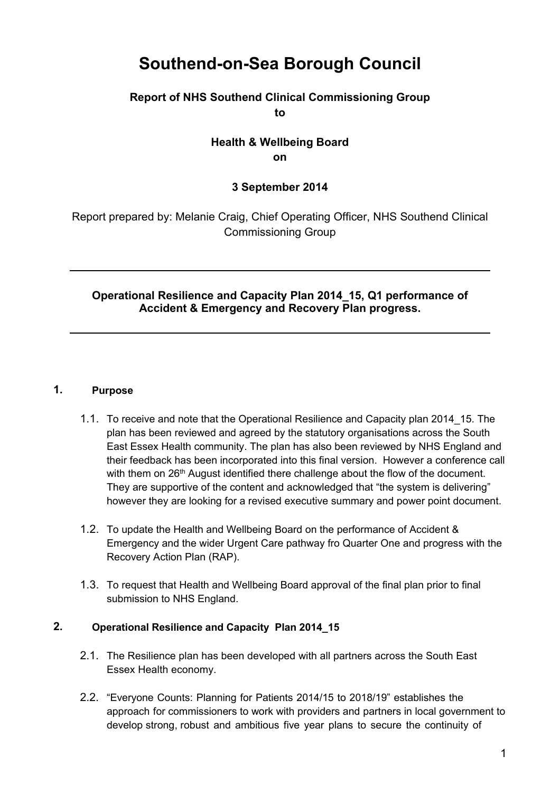# **Southend-on-Sea Borough Council**

## **Report of NHS Southend Clinical Commissioning Group to**

# **Health & Wellbeing Board on**

# **3 September 2014**

Report prepared by: Melanie Craig, Chief Operating Officer, NHS Southend Clinical Commissioning Group

## **Operational Resilience and Capacity Plan 2014\_15, Q1 performance of Accident & Emergency and Recovery Plan progress.**

## **1. Purpose**

- 1.1. To receive and note that the Operational Resilience and Capacity plan 2014\_15. The plan has been reviewed and agreed by the statutory organisations across the South East Essex Health community. The plan has also been reviewed by NHS England and their feedback has been incorporated into this final version. However a conference call with them on  $26<sup>th</sup>$  August identified there challenge about the flow of the document. They are supportive of the content and acknowledged that "the system is delivering" however they are looking for a revised executive summary and power point document.
- 1.2. To update the Health and Wellbeing Board on the performance of Accident & Emergency and the wider Urgent Care pathway fro Quarter One and progress with the Recovery Action Plan (RAP).
- 1.3. To request that Health and Wellbeing Board approval of the final plan prior to final submission to NHS England.

## **2. Operational Resilience and Capacity Plan 2014\_15**

- 2.1. The Resilience plan has been developed with all partners across the South East Essex Health economy.
- 2.2. "Everyone Counts: Planning for Patients 2014/15 to 2018/19" establishes the approach for commissioners to work with providers and partners in local government to develop strong, robust and ambitious five year plans to secure the continuity of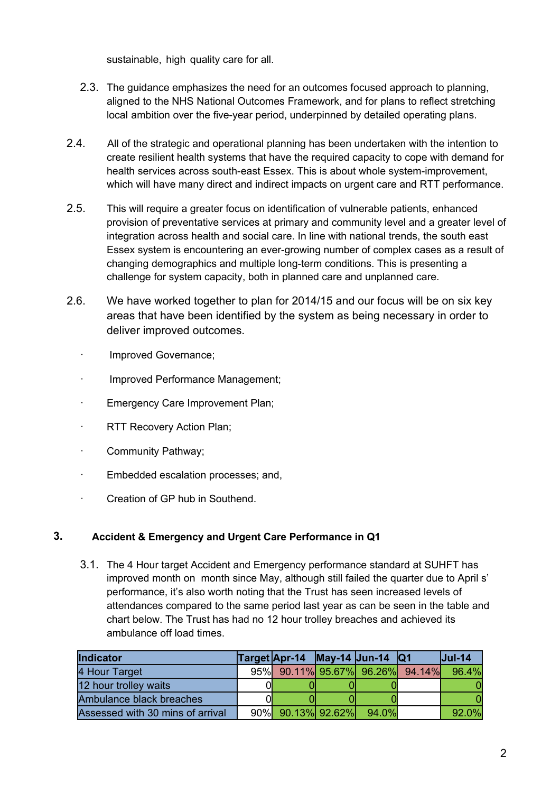sustainable, high quality care for all.

- 2.3. The guidance emphasizes the need for an outcomes focused approach to planning, aligned to the NHS National Outcomes Framework, and for plans to reflect stretching local ambition over the five-year period, underpinned by detailed operating plans.
- 2.4. All of the strategic and operational planning has been undertaken with the intention to create resilient health systems that have the required capacity to cope with demand for health services across south-east Essex. This is about whole system-improvement, which will have many direct and indirect impacts on urgent care and RTT performance.
- 2.5. This will require a greater focus on identification of vulnerable patients, enhanced provision of preventative services at primary and community level and a greater level of integration across health and social care. In line with national trends, the south east Essex system is encountering an ever-growing number of complex cases as a result of changing demographics and multiple long-term conditions. This is presenting a challenge for system capacity, both in planned care and unplanned care.
- 2.6. We have worked together to plan for 2014/15 and our focus will be on six key areas that have been identified by the system as being necessary in order to deliver improved outcomes.
	- · Improved Governance;
	- · Improved Performance Management;
	- Emergency Care Improvement Plan;
	- · RTT Recovery Action Plan;
	- · Community Pathway;
	- Embedded escalation processes; and,
	- · Creation of GP hub in Southend.

#### **3. Accident & Emergency and Urgent Care Performance in Q1**

3.1. The 4 Hour target Accident and Emergency performance standard at SUHFT has improved month on month since May, although still failed the quarter due to April s' performance, it's also worth noting that the Trust has seen increased levels of attendances compared to the same period last year as can be seen in the table and chart below. The Trust has had no 12 hour trolley breaches and achieved its ambulance off load times.

| Indicator                        | Target <b>Apr-14 May-14 Jun-14 Q1</b> |       | $ $ Jul-14 |
|----------------------------------|---------------------------------------|-------|------------|
| 4 Hour Target                    | 95% 90.11% 95.67% 96.26% 94.14% 96.4% |       |            |
| 12 hour trolley waits            |                                       |       |            |
| Ambulance black breaches         |                                       |       |            |
| Assessed with 30 mins of arrival | $90\%$ 90.13% 92.62%                  | 94.0% | 92.0%      |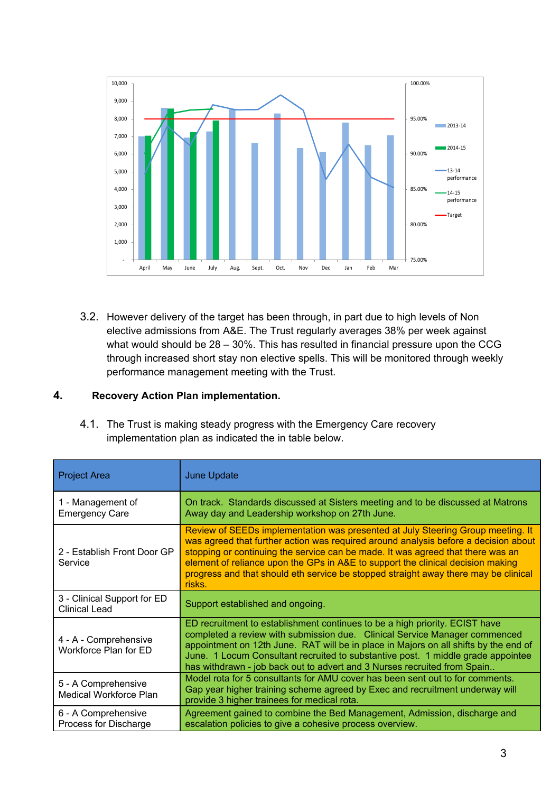

3.2. However delivery of the target has been through, in part due to high levels of Non elective admissions from A&E. The Trust regularly averages 38% per week against what would should be 28 – 30%. This has resulted in financial pressure upon the CCG through increased short stay non elective spells. This will be monitored through weekly performance management meeting with the Trust.

#### **4. Recovery Action Plan implementation.**

4.1. The Trust is making steady progress with the Emergency Care recovery implementation plan as indicated the in table below.

| <b>Project Area</b>                                 | <b>June Update</b>                                                                                                                                                                                                                                                                                                                                                                                                                            |
|-----------------------------------------------------|-----------------------------------------------------------------------------------------------------------------------------------------------------------------------------------------------------------------------------------------------------------------------------------------------------------------------------------------------------------------------------------------------------------------------------------------------|
| 1 - Management of<br><b>Emergency Care</b>          | On track. Standards discussed at Sisters meeting and to be discussed at Matrons<br>Away day and Leadership workshop on 27th June.                                                                                                                                                                                                                                                                                                             |
| 2 - Establish Front Door GP<br>Service              | Review of SEEDs implementation was presented at July Steering Group meeting. It<br>was agreed that further action was required around analysis before a decision about<br>stopping or continuing the service can be made. It was agreed that there was an<br>element of reliance upon the GPs in A&E to support the clinical decision making<br>progress and that should eth service be stopped straight away there may be clinical<br>risks. |
| 3 - Clinical Support for ED<br><b>Clinical Lead</b> | Support established and ongoing.                                                                                                                                                                                                                                                                                                                                                                                                              |
| 4 - A - Comprehensive<br>Workforce Plan for ED      | ED recruitment to establishment continues to be a high priority. ECIST have<br>completed a review with submission due. Clinical Service Manager commenced<br>appointment on 12th June. RAT will be in place in Majors on all shifts by the end of<br>June. 1 Locum Consultant recruited to substantive post. 1 middle grade appointee<br>has withdrawn - job back out to advert and 3 Nurses recruited from Spain                             |
| 5 - A Comprehensive<br>Medical Workforce Plan       | Model rota for 5 consultants for AMU cover has been sent out to for comments.<br>Gap year higher training scheme agreed by Exec and recruitment underway will<br>provide 3 higher trainees for medical rota.                                                                                                                                                                                                                                  |
| 6 - A Comprehensive<br>Process for Discharge        | Agreement gained to combine the Bed Management, Admission, discharge and<br>escalation policies to give a cohesive process overview.                                                                                                                                                                                                                                                                                                          |